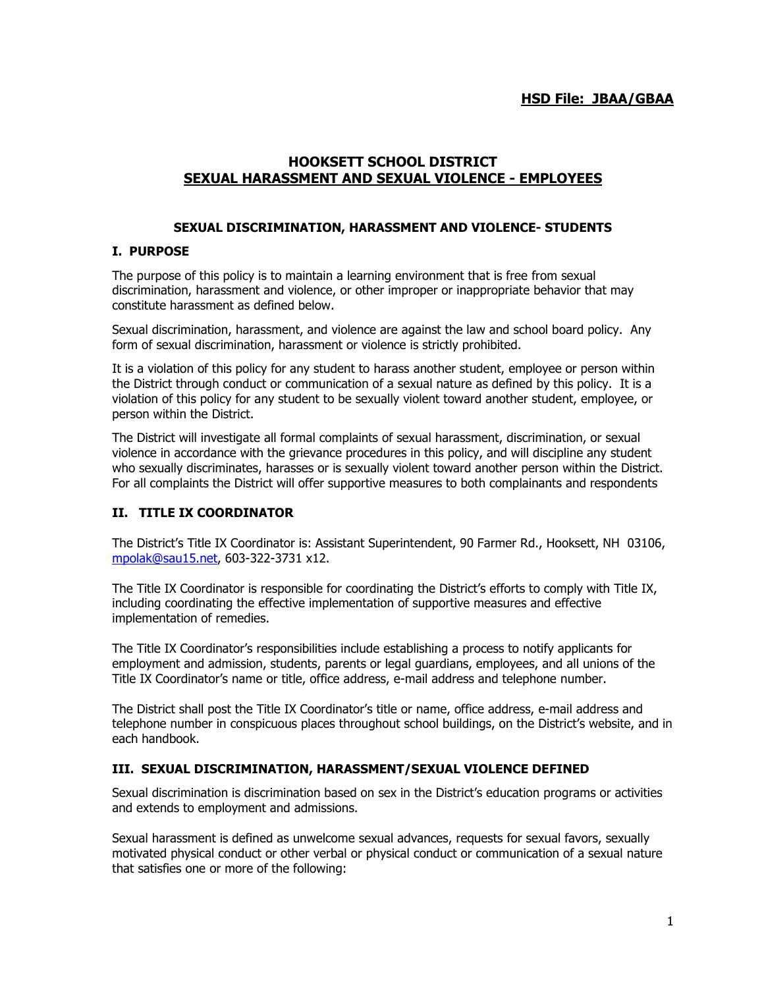## **HSD File: JBAA/GBAA**

# **HOOKSETT SCHOOL DISTRICT SEXUAL HARASSMENT AND SEXUAL VIOLENCE - EMPLOYEES**

#### **SEXUAL DISCRIMINATION, HARASSMENT AND VIOLENCE- STUDENTS**

#### **I. PURPOSE**

The purpose of this policy is to maintain a learning environment that is free from sexual discrimination, harassment and violence, or other improper or inappropriate behavior that may constitute harassment as defined below.

Sexual discrimination, harassment, and violence are against the law and school board policy. Any form of sexual discrimination, harassment or violence is strictly prohibited.

It is a violation of this policy for any student to harass another student, employee or person within the District through conduct or communication of a sexual nature as defined by this policy. It is a violation of this policy for any student to be sexually violent toward another student, employee, or person within the District.

The District will investigate all formal complaints of sexual harassment, discrimination, or sexual violence in accordance with the grievance procedures in this policy, and will discipline any student who sexually discriminates, harasses or is sexually violent toward another person within the District. For all complaints the District will offer supportive measures to both complainants and respondents

#### **II. TITLE IX COORDINATOR**

The District's Title IX Coordinator is: Assistant Superintendent, 90 Farmer Rd., Hooksett, NH 03106, [mpolak@sau15.net,](mailto:mpolak@sau15.net) 603-322-3731 x12.

The Title IX Coordinator is responsible for coordinating the District's efforts to comply with Title IX, including coordinating the effective implementation of supportive measures and effective implementation of remedies.

The Title IX Coordinator's responsibilities include establishing a process to notify applicants for employment and admission, students, parents or legal guardians, employees, and all unions of the Title IX Coordinator's name or title, office address, e-mail address and telephone number.

The District shall post the Title IX Coordinator's title or name, office address, e-mail address and telephone number in conspicuous places throughout school buildings, on the District's website, and in each handbook.

#### **III. SEXUAL DISCRIMINATION, HARASSMENT/SEXUAL VIOLENCE DEFINED**

Sexual discrimination is discrimination based on sex in the District's education programs or activities and extends to employment and admissions.

Sexual harassment is defined as unwelcome sexual advances, requests for sexual favors, sexually motivated physical conduct or other verbal or physical conduct or communication of a sexual nature that satisfies one or more of the following: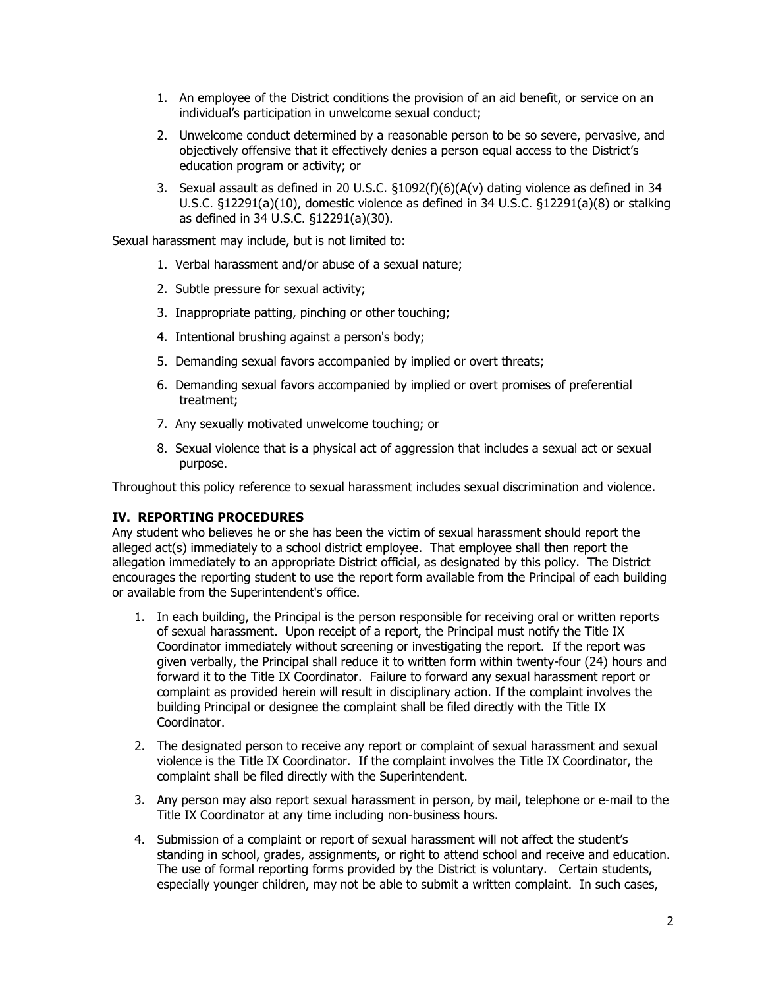- 1. An employee of the District conditions the provision of an aid benefit, or service on an individual's participation in unwelcome sexual conduct;
- 2. Unwelcome conduct determined by a reasonable person to be so severe, pervasive, and objectively offensive that it effectively denies a person equal access to the District's education program or activity; or
- 3. Sexual assault as defined in 20 U.S.C. §1092(f)(6)(A(v) dating violence as defined in 34 U.S.C. §12291(a)(10), domestic violence as defined in 34 U.S.C. §12291(a)(8) or stalking as defined in 34 U.S.C. §12291(a)(30).

Sexual harassment may include, but is not limited to:

- 1. Verbal harassment and/or abuse of a sexual nature;
- 2. Subtle pressure for sexual activity;
- 3. Inappropriate patting, pinching or other touching;
- 4. Intentional brushing against a person's body;
- 5. Demanding sexual favors accompanied by implied or overt threats;
- 6. Demanding sexual favors accompanied by implied or overt promises of preferential treatment;
- 7. Any sexually motivated unwelcome touching; or
- 8. Sexual violence that is a physical act of aggression that includes a sexual act or sexual purpose.

Throughout this policy reference to sexual harassment includes sexual discrimination and violence.

# **IV. REPORTING PROCEDURES**

Any student who believes he or she has been the victim of sexual harassment should report the alleged act(s) immediately to a school district employee. That employee shall then report the allegation immediately to an appropriate District official, as designated by this policy. The District encourages the reporting student to use the report form available from the Principal of each building or available from the Superintendent's office.

- 1. In each building, the Principal is the person responsible for receiving oral or written reports of sexual harassment. Upon receipt of a report, the Principal must notify the Title IX Coordinator immediately without screening or investigating the report. If the report was given verbally, the Principal shall reduce it to written form within twenty-four (24) hours and forward it to the Title IX Coordinator. Failure to forward any sexual harassment report or complaint as provided herein will result in disciplinary action. If the complaint involves the building Principal or designee the complaint shall be filed directly with the Title IX Coordinator.
- 2. The designated person to receive any report or complaint of sexual harassment and sexual violence is the Title IX Coordinator. If the complaint involves the Title IX Coordinator, the complaint shall be filed directly with the Superintendent.
- 3. Any person may also report sexual harassment in person, by mail, telephone or e-mail to the Title IX Coordinator at any time including non-business hours.
- 4. Submission of a complaint or report of sexual harassment will not affect the student's standing in school, grades, assignments, or right to attend school and receive and education. The use of formal reporting forms provided by the District is voluntary. Certain students, especially younger children, may not be able to submit a written complaint. In such cases,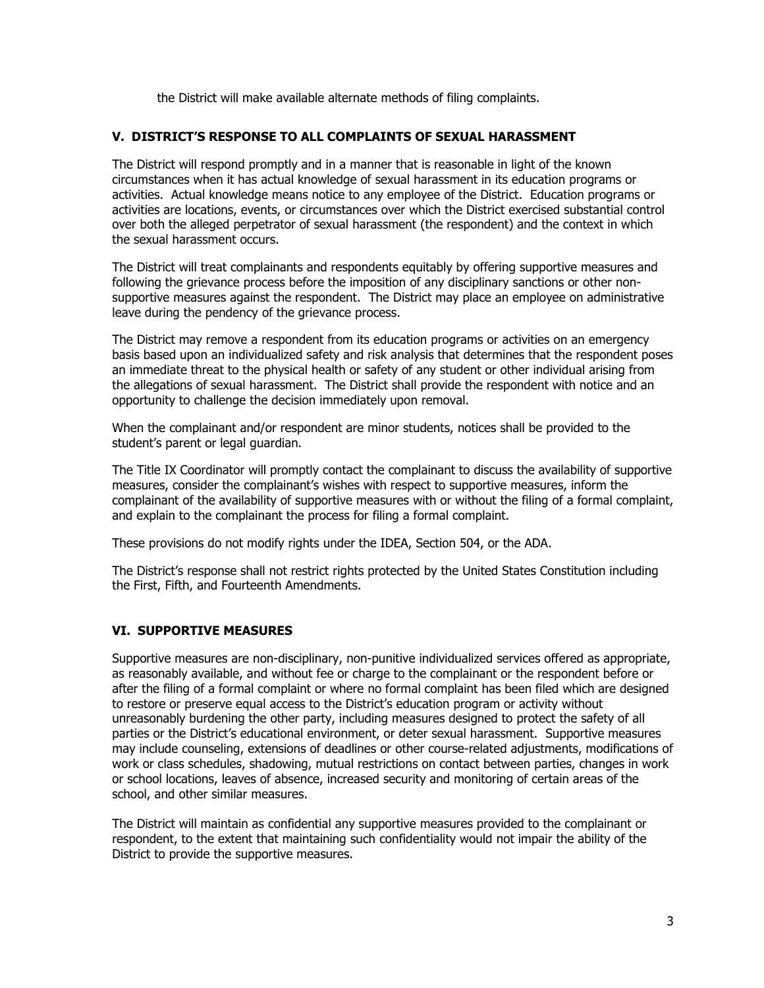the District will make available alternate methods of filing complaints.

### **V. DISTRICT'S RESPONSE TO ALL COMPLAINTS OF SEXUAL HARASSMENT**

The District will respond promptly and in a manner that is reasonable in light of the known circumstances when it has actual knowledge of sexual harassment in its education programs or activities. Actual knowledge means notice to any employee of the District. Education programs or activities are locations, events, or circumstances over which the District exercised substantial control over both the alleged perpetrator of sexual harassment (the respondent) and the context in which the sexual harassment occurs.

The District will treat complainants and respondents equitably by offering supportive measures and following the grievance process before the imposition of any disciplinary sanctions or other nonsupportive measures against the respondent. The District may place an employee on administrative leave during the pendency of the grievance process.

The District may remove a respondent from its education programs or activities on an emergency basis based upon an individualized safety and risk analysis that determines that the respondent poses an immediate threat to the physical health or safety of any student or other individual arising from the allegations of sexual harassment. The District shall provide the respondent with notice and an opportunity to challenge the decision immediately upon removal.

When the complainant and/or respondent are minor students, notices shall be provided to the student's parent or legal guardian.

The Title IX Coordinator will promptly contact the complainant to discuss the availability of supportive measures, consider the complainant's wishes with respect to supportive measures, inform the complainant of the availability of supportive measures with or without the filing of a formal complaint, and explain to the complainant the process for filing a formal complaint.

These provisions do not modify rights under the IDEA, Section 504, or the ADA.

The District's response shall not restrict rights protected by the United States Constitution including the First, Fifth, and Fourteenth Amendments.

# **VI. SUPPORTIVE MEASURES**

Supportive measures are non-disciplinary, non-punitive individualized services offered as appropriate, as reasonably available, and without fee or charge to the complainant or the respondent before or after the filing of a formal complaint or where no formal complaint has been filed which are designed to restore or preserve equal access to the District's education program or activity without unreasonably burdening the other party, including measures designed to protect the safety of all parties or the District's educational environment, or deter sexual harassment. Supportive measures may include counseling, extensions of deadlines or other course-related adjustments, modifications of work or class schedules, shadowing, mutual restrictions on contact between parties, changes in work or school locations, leaves of absence, increased security and monitoring of certain areas of the school, and other similar measures.

The District will maintain as confidential any supportive measures provided to the complainant or respondent, to the extent that maintaining such confidentiality would not impair the ability of the District to provide the supportive measures.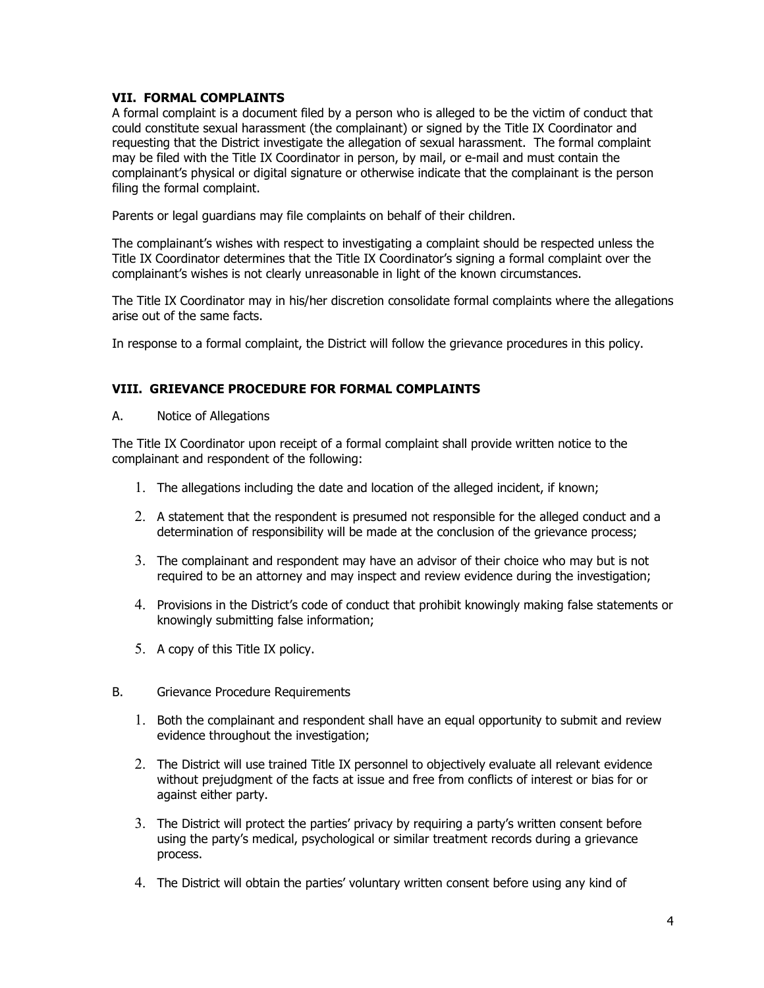### **VII. FORMAL COMPLAINTS**

A formal complaint is a document filed by a person who is alleged to be the victim of conduct that could constitute sexual harassment (the complainant) or signed by the Title IX Coordinator and requesting that the District investigate the allegation of sexual harassment. The formal complaint may be filed with the Title IX Coordinator in person, by mail, or e-mail and must contain the complainant's physical or digital signature or otherwise indicate that the complainant is the person filing the formal complaint.

Parents or legal guardians may file complaints on behalf of their children.

The complainant's wishes with respect to investigating a complaint should be respected unless the Title IX Coordinator determines that the Title IX Coordinator's signing a formal complaint over the complainant's wishes is not clearly unreasonable in light of the known circumstances.

The Title IX Coordinator may in his/her discretion consolidate formal complaints where the allegations arise out of the same facts.

In response to a formal complaint, the District will follow the grievance procedures in this policy.

# **VIII. GRIEVANCE PROCEDURE FOR FORMAL COMPLAINTS**

A. Notice of Allegations

The Title IX Coordinator upon receipt of a formal complaint shall provide written notice to the complainant and respondent of the following:

- 1. The allegations including the date and location of the alleged incident, if known;
- 2. A statement that the respondent is presumed not responsible for the alleged conduct and a determination of responsibility will be made at the conclusion of the grievance process;
- 3. The complainant and respondent may have an advisor of their choice who may but is not required to be an attorney and may inspect and review evidence during the investigation;
- 4. Provisions in the District's code of conduct that prohibit knowingly making false statements or knowingly submitting false information;
- 5. A copy of this Title IX policy.
- B. Grievance Procedure Requirements
	- 1. Both the complainant and respondent shall have an equal opportunity to submit and review evidence throughout the investigation;
	- 2. The District will use trained Title IX personnel to objectively evaluate all relevant evidence without prejudgment of the facts at issue and free from conflicts of interest or bias for or against either party.
	- 3. The District will protect the parties' privacy by requiring a party's written consent before using the party's medical, psychological or similar treatment records during a grievance process.
	- 4. The District will obtain the parties' voluntary written consent before using any kind of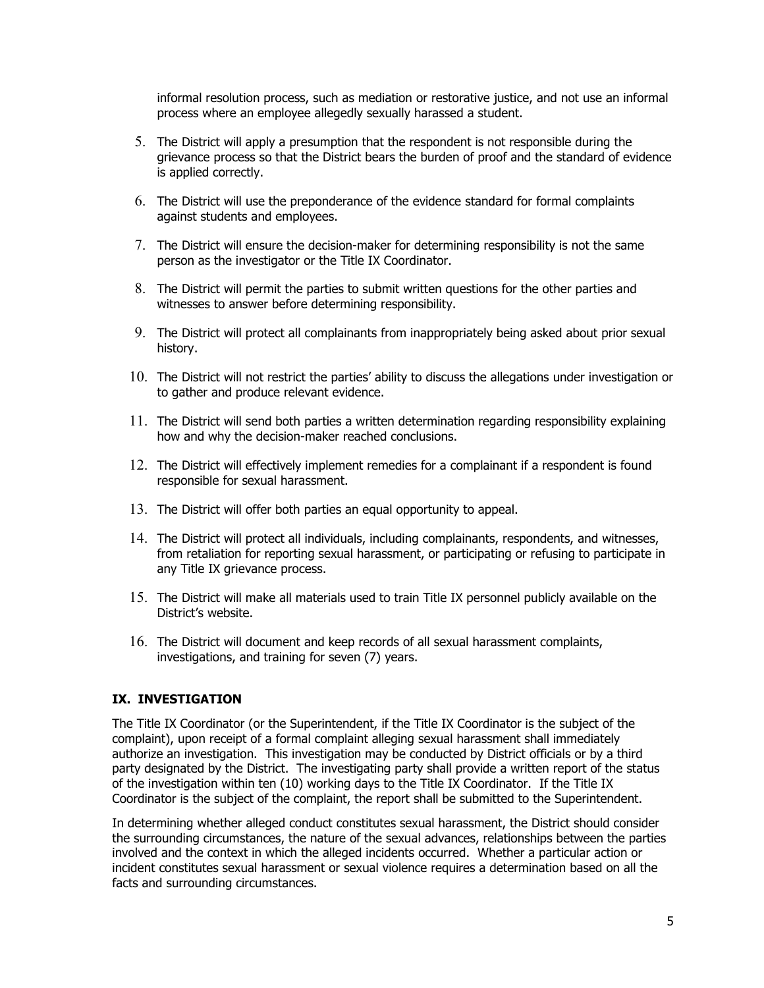informal resolution process, such as mediation or restorative justice, and not use an informal process where an employee allegedly sexually harassed a student.

- 5. The District will apply a presumption that the respondent is not responsible during the grievance process so that the District bears the burden of proof and the standard of evidence is applied correctly.
- 6. The District will use the preponderance of the evidence standard for formal complaints against students and employees.
- 7. The District will ensure the decision-maker for determining responsibility is not the same person as the investigator or the Title IX Coordinator.
- 8. The District will permit the parties to submit written questions for the other parties and witnesses to answer before determining responsibility.
- 9. The District will protect all complainants from inappropriately being asked about prior sexual history.
- 10. The District will not restrict the parties' ability to discuss the allegations under investigation or to gather and produce relevant evidence.
- 11. The District will send both parties a written determination regarding responsibility explaining how and why the decision-maker reached conclusions.
- 12. The District will effectively implement remedies for a complainant if a respondent is found responsible for sexual harassment.
- 13. The District will offer both parties an equal opportunity to appeal.
- 14. The District will protect all individuals, including complainants, respondents, and witnesses, from retaliation for reporting sexual harassment, or participating or refusing to participate in any Title IX grievance process.
- 15. The District will make all materials used to train Title IX personnel publicly available on the District's website.
- 16. The District will document and keep records of all sexual harassment complaints, investigations, and training for seven (7) years.

#### **IX. INVESTIGATION**

The Title IX Coordinator (or the Superintendent, if the Title IX Coordinator is the subject of the complaint), upon receipt of a formal complaint alleging sexual harassment shall immediately authorize an investigation. This investigation may be conducted by District officials or by a third party designated by the District. The investigating party shall provide a written report of the status of the investigation within ten (10) working days to the Title IX Coordinator. If the Title IX Coordinator is the subject of the complaint, the report shall be submitted to the Superintendent.

In determining whether alleged conduct constitutes sexual harassment, the District should consider the surrounding circumstances, the nature of the sexual advances, relationships between the parties involved and the context in which the alleged incidents occurred. Whether a particular action or incident constitutes sexual harassment or sexual violence requires a determination based on all the facts and surrounding circumstances.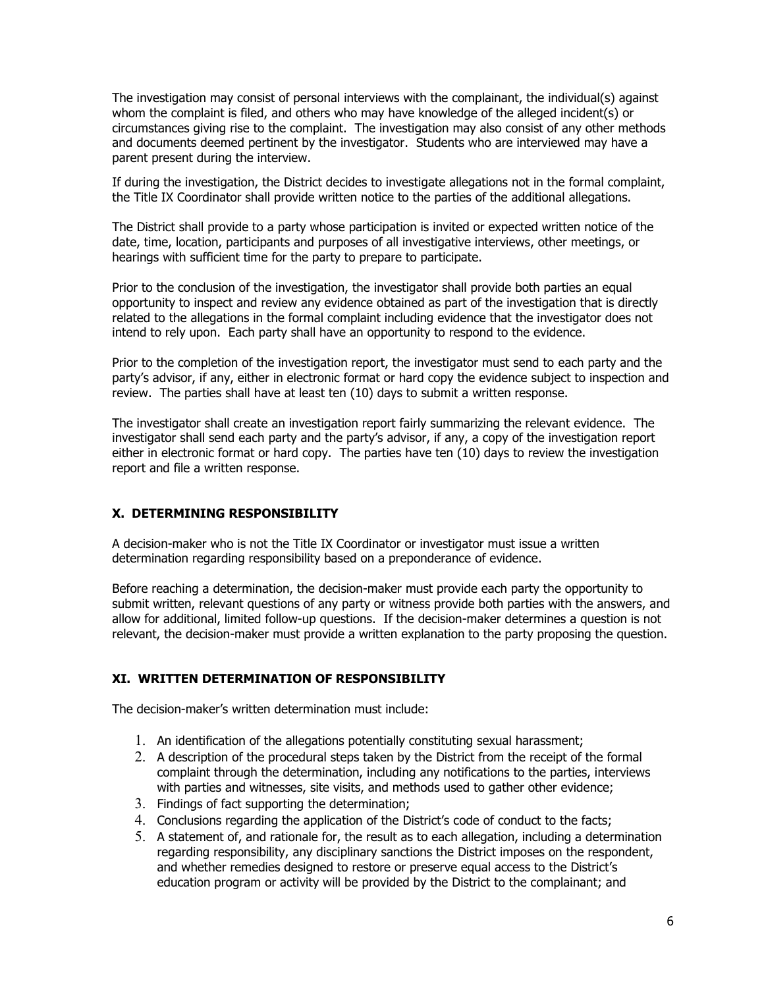The investigation may consist of personal interviews with the complainant, the individual(s) against whom the complaint is filed, and others who may have knowledge of the alleged incident(s) or circumstances giving rise to the complaint. The investigation may also consist of any other methods and documents deemed pertinent by the investigator. Students who are interviewed may have a parent present during the interview.

If during the investigation, the District decides to investigate allegations not in the formal complaint, the Title IX Coordinator shall provide written notice to the parties of the additional allegations.

The District shall provide to a party whose participation is invited or expected written notice of the date, time, location, participants and purposes of all investigative interviews, other meetings, or hearings with sufficient time for the party to prepare to participate.

Prior to the conclusion of the investigation, the investigator shall provide both parties an equal opportunity to inspect and review any evidence obtained as part of the investigation that is directly related to the allegations in the formal complaint including evidence that the investigator does not intend to rely upon. Each party shall have an opportunity to respond to the evidence.

Prior to the completion of the investigation report, the investigator must send to each party and the party's advisor, if any, either in electronic format or hard copy the evidence subject to inspection and review. The parties shall have at least ten (10) days to submit a written response.

The investigator shall create an investigation report fairly summarizing the relevant evidence. The investigator shall send each party and the party's advisor, if any, a copy of the investigation report either in electronic format or hard copy. The parties have ten (10) days to review the investigation report and file a written response.

#### **X. DETERMINING RESPONSIBILITY**

A decision-maker who is not the Title IX Coordinator or investigator must issue a written determination regarding responsibility based on a preponderance of evidence.

Before reaching a determination, the decision-maker must provide each party the opportunity to submit written, relevant questions of any party or witness provide both parties with the answers, and allow for additional, limited follow-up questions. If the decision-maker determines a question is not relevant, the decision-maker must provide a written explanation to the party proposing the question.

# **XI. WRITTEN DETERMINATION OF RESPONSIBILITY**

The decision-maker's written determination must include:

- 1. An identification of the allegations potentially constituting sexual harassment;
- 2. A description of the procedural steps taken by the District from the receipt of the formal complaint through the determination, including any notifications to the parties, interviews with parties and witnesses, site visits, and methods used to gather other evidence;
- 3. Findings of fact supporting the determination;
- 4. Conclusions regarding the application of the District's code of conduct to the facts;
- 5. A statement of, and rationale for, the result as to each allegation, including a determination regarding responsibility, any disciplinary sanctions the District imposes on the respondent, and whether remedies designed to restore or preserve equal access to the District's education program or activity will be provided by the District to the complainant; and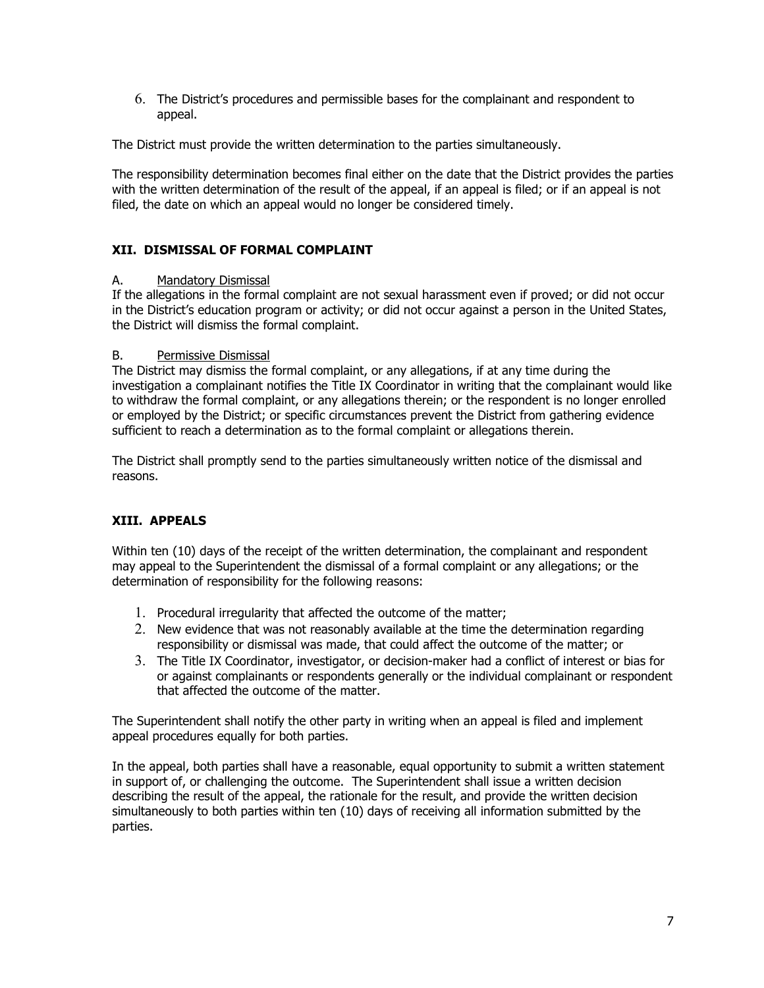6. The District's procedures and permissible bases for the complainant and respondent to appeal.

The District must provide the written determination to the parties simultaneously.

The responsibility determination becomes final either on the date that the District provides the parties with the written determination of the result of the appeal, if an appeal is filed; or if an appeal is not filed, the date on which an appeal would no longer be considered timely.

# **XII. DISMISSAL OF FORMAL COMPLAINT**

### A. Mandatory Dismissal

If the allegations in the formal complaint are not sexual harassment even if proved; or did not occur in the District's education program or activity; or did not occur against a person in the United States, the District will dismiss the formal complaint.

#### B. Permissive Dismissal

The District may dismiss the formal complaint, or any allegations, if at any time during the investigation a complainant notifies the Title IX Coordinator in writing that the complainant would like to withdraw the formal complaint, or any allegations therein; or the respondent is no longer enrolled or employed by the District; or specific circumstances prevent the District from gathering evidence sufficient to reach a determination as to the formal complaint or allegations therein.

The District shall promptly send to the parties simultaneously written notice of the dismissal and reasons.

# **XIII. APPEALS**

Within ten (10) days of the receipt of the written determination, the complainant and respondent may appeal to the Superintendent the dismissal of a formal complaint or any allegations; or the determination of responsibility for the following reasons:

- 1. Procedural irregularity that affected the outcome of the matter;
- 2. New evidence that was not reasonably available at the time the determination regarding responsibility or dismissal was made, that could affect the outcome of the matter; or
- 3. The Title IX Coordinator, investigator, or decision-maker had a conflict of interest or bias for or against complainants or respondents generally or the individual complainant or respondent that affected the outcome of the matter.

The Superintendent shall notify the other party in writing when an appeal is filed and implement appeal procedures equally for both parties.

In the appeal, both parties shall have a reasonable, equal opportunity to submit a written statement in support of, or challenging the outcome. The Superintendent shall issue a written decision describing the result of the appeal, the rationale for the result, and provide the written decision simultaneously to both parties within ten (10) days of receiving all information submitted by the parties.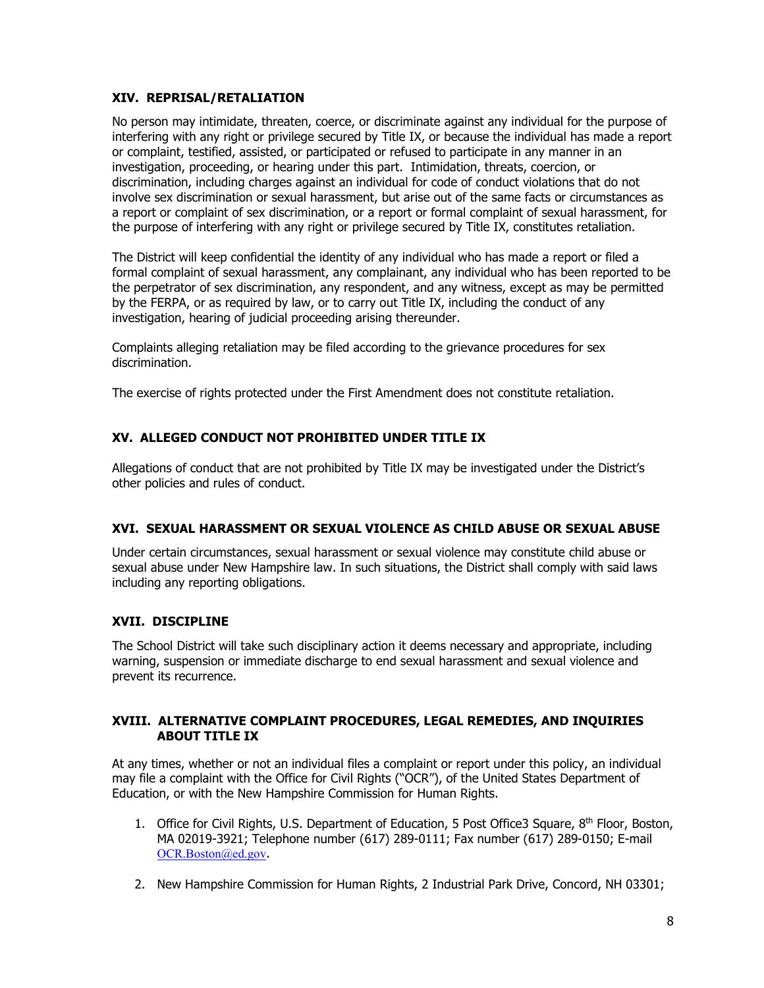#### **XIV. REPRISAL/RETALIATION**

No person may intimidate, threaten, coerce, or discriminate against any individual for the purpose of interfering with any right or privilege secured by Title IX, or because the individual has made a report or complaint, testified, assisted, or participated or refused to participate in any manner in an investigation, proceeding, or hearing under this part. Intimidation, threats, coercion, or discrimination, including charges against an individual for code of conduct violations that do not involve sex discrimination or sexual harassment, but arise out of the same facts or circumstances as a report or complaint of sex discrimination, or a report or formal complaint of sexual harassment, for the purpose of interfering with any right or privilege secured by Title IX, constitutes retaliation.

The District will keep confidential the identity of any individual who has made a report or filed a formal complaint of sexual harassment, any complainant, any individual who has been reported to be the perpetrator of sex discrimination, any respondent, and any witness, except as may be permitted by the FERPA, or as required by law, or to carry out Title IX, including the conduct of any investigation, hearing of judicial proceeding arising thereunder.

Complaints alleging retaliation may be filed according to the grievance procedures for sex discrimination.

The exercise of rights protected under the First Amendment does not constitute retaliation.

# **XV. ALLEGED CONDUCT NOT PROHIBITED UNDER TITLE IX**

Allegations of conduct that are not prohibited by Title IX may be investigated under the District's other policies and rules of conduct.

# **XVI. SEXUAL HARASSMENT OR SEXUAL VIOLENCE AS CHILD ABUSE OR SEXUAL ABUSE**

Under certain circumstances, sexual harassment or sexual violence may constitute child abuse or sexual abuse under New Hampshire law. In such situations, the District shall comply with said laws including any reporting obligations.

# **XVII. DISCIPLINE**

The School District will take such disciplinary action it deems necessary and appropriate, including warning, suspension or immediate discharge to end sexual harassment and sexual violence and prevent its recurrence.

### **XVIII. ALTERNATIVE COMPLAINT PROCEDURES, LEGAL REMEDIES, AND INQUIRIES ABOUT TITLE IX**

At any times, whether or not an individual files a complaint or report under this policy, an individual may file a complaint with the Office for Civil Rights ("OCR"), of the United States Department of Education, or with the New Hampshire Commission for Human Rights.

- 1. Office for Civil Rights, U.S. Department of Education, 5 Post Office3 Square, 8<sup>th</sup> Floor, Boston, MA 02019-3921; Telephone number (617) 289-0111; Fax number (617) 289-0150; E-mail [OCR.Boston@ed.gov](mailto:OCR.Boston@ed.gov).
- 2. New Hampshire Commission for Human Rights, 2 Industrial Park Drive, Concord, NH 03301;